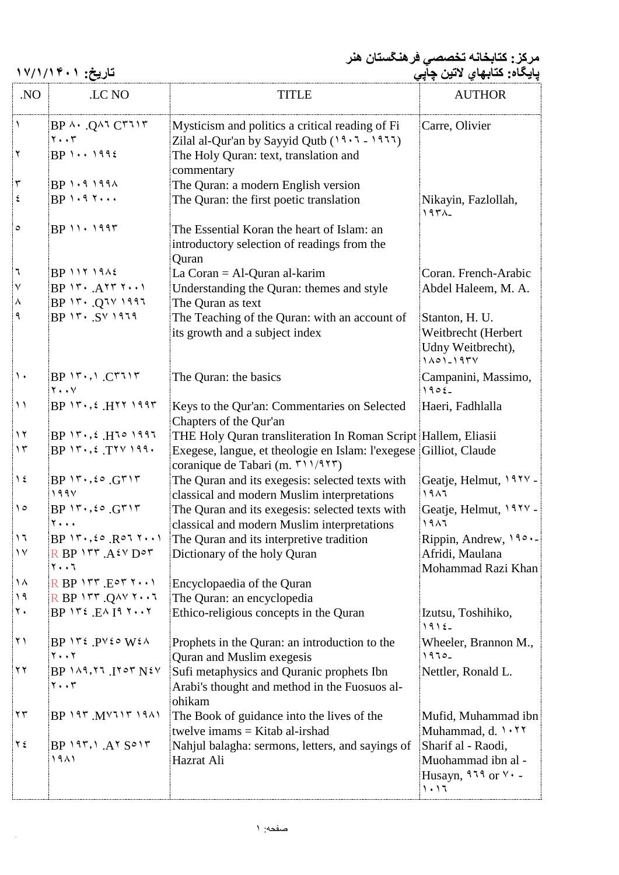**مرکز: کتابخانه تخصصي فرهنگستان هنر** aaaa **پايگاه: کتابهاي لاتين چاپي تاريخ: ١٧/١/١۴٠١**

| .NO                                         | LC NO                                                                               | <b>TITLE</b>                                                                                          | <b>AUTHOR</b>                                                               |
|---------------------------------------------|-------------------------------------------------------------------------------------|-------------------------------------------------------------------------------------------------------|-----------------------------------------------------------------------------|
| İ١                                          | $BP \wedge \cdot Q \wedge T C T T T$<br>$\mathbf{y} \cdot \mathbf{y}$               | Mysticism and politics a critical reading of Fi<br>Zilal al-Qur'an by Sayyid Qutb $(19.7 - 1977)$     | Carre, Olivier                                                              |
| $\mathbf{r}$                                | $BP \cdots 1992$                                                                    | The Holy Quran: text, translation and<br>commentary                                                   |                                                                             |
| $\mathbf r$                                 | $BP$ $1.9191$                                                                       | The Quran: a modern English version                                                                   |                                                                             |
| $\epsilon$                                  | $BP$ $\cdot$ $\cdot$ $\cdot$ $\cdot$                                                | The Quran: the first poetic translation                                                               | Nikayin, Fazlollah,<br>197                                                  |
| $\circ$                                     | $BP$ $11.1997$                                                                      | The Essential Koran the heart of Islam: an<br>introductory selection of readings from the<br>Quran    |                                                                             |
| ٦                                           | $BP$ $117$ $19$                                                                     | La Coran = $AI$ -Quran al-karim                                                                       | Coran. French-Arabic                                                        |
| ļ٧                                          | $BP \vee \cdots$ $A \vee \vee \cdots$                                               | Understanding the Quran: themes and style                                                             | Abdel Haleem, M. A.                                                         |
| $\lambda$                                   |                                                                                     | The Quran as text                                                                                     |                                                                             |
| ∣ م                                         | $BP$ $14.54$ $1414$                                                                 | The Teaching of the Quran: with an account of<br>its growth and a subject index                       | Stanton, H. U.<br>Weitbrecht (Herbert<br>Udny Weitbrecht),<br>$1101 - 1974$ |
| $\vert \cdot \vert$                         | $BP \cup \neg \cup \neg C \wedge \neg \vee \wedge \neg C$<br>$Y \cdot V$            | The Quran: the basics                                                                                 | Campanini, Massimo,<br>$1905-$                                              |
| $\left  \; \right\rangle$                   | $BP \rightarrow r \rightarrow f$ . $H \rightarrow \gamma \rightarrow \gamma \gamma$ | Keys to the Qur'an: Commentaries on Selected<br>Chapters of the Qur'an                                | Haeri, Fadhlalla                                                            |
| $\gamma$                                    | $BP \rightarrow r \rightarrow f$ . $H \rightarrow \gamma \rightarrow \gamma$        | THE Holy Quran transliteration In Roman Script Hallem, Eliasii                                        |                                                                             |
| $\gamma$                                    | $BP \rightarrow \ldots$ : $T^{\gamma \gamma} \rightarrow \ldots$                    | Exegese, langue, et theologie en Islam: l'exegese Gilliot, Claude<br>coranique de Tabari (m. ٣١١/٩٢٣) |                                                                             |
| $\vert$ 1 ٤                                 | $BP \vee r \cdot ,$ $\circ$ $GT \vee r$<br>199V                                     | The Quran and its exegesis: selected texts with<br>classical and modern Muslim interpretations        | Geatje, Helmut, 197V -<br>1917                                              |
| $\setminus \circ$                           | $BP \vee \cdots$ , $\in G \vee \vee$<br><b>Y</b>                                    | The Quran and its exegesis: selected texts with<br>classical and modern Muslim interpretations        | Geatje, Helmut, 197V -<br>1917                                              |
| $\mathbin{\backslash}$ ۱                    | $BP \rightarrow r \rightarrow \epsilon \circ R \circ T \cdots$                      | The Quran and its interpretive tradition                                                              | Rippin, Andrew, 190.                                                        |
| $\mathbin{\backslash} \mathbin{\backslash}$ | $RP$ $N^r$ $A^{IV}$ $D^o$<br>۲۰۰٦                                                   | Dictionary of the holy Quran                                                                          | Afridi, Maulana<br>Mohammad Razi Khan                                       |
| $\Lambda$                                   | $R$ BP $157$ . $E^{\circ}$ $7 \cdots$                                               | Encyclopaedia of the Quran                                                                            |                                                                             |
| $\vert$ ۱۹                                  | $R$ BP $157$ . QAV $1 \cdot 7$                                                      | The Quran: an encyclopedia                                                                            |                                                                             |
| $\mathbf{v}$ .                              | $BP$ $Y^{\epsilon}$ . $E^{\Lambda}$ $I^{\epsilon}$ $Y \cdot Y$                      | Ethico-religious concepts in the Quran                                                                | Izutsu, Toshihiko,<br>$1915 -$                                              |
| ۱ ۲ ا                                       | $BP$ $Y\xi$ $PV\xi \circ W\xi \wedge$                                               | Prophets in the Quran: an introduction to the                                                         | Wheeler, Brannon M.,                                                        |
|                                             | $Y \cdot Y$                                                                         | Quran and Muslim exegesis                                                                             | $1970 -$                                                                    |
| $\mathbf{y}$                                | $BP$ $111.77$ $N2V$                                                                 | Sufi metaphysics and Quranic prophets Ibn                                                             | Nettler, Ronald L.                                                          |
|                                             | $\mathbf{y} \cdot \mathbf{y}$                                                       | Arabi's thought and method in the Fuosuos al-<br>ohikam                                               |                                                                             |
| $\mathbf{y}$                                | $BP$ $197$ $M$ $V$ $117$ $19$ $A1$                                                  | The Book of guidance into the lives of the<br>twelve imams $=$ Kitab al-irshad                        | Mufid, Muhammad ibn<br>Muhammad, d. 1.77                                    |
| $\gamma$                                    | $BP$ $197,1$ $A7$ $S^{\circ}17$                                                     | Nahjul balagha: sermons, letters, and sayings of                                                      | Sharif al - Raodi,                                                          |
|                                             | ۱۹۸۱                                                                                | Hazrat Ali                                                                                            | Muohammad ibn al -<br>Husayn, $919$ or $4.1$<br>1.17                        |